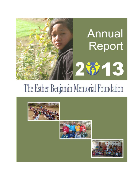# **Annual** Report  $2913$

# The Esther Benjamin Memorial Foundation

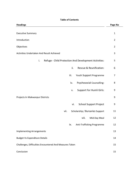# **Table of Contents**

| <b>Headings</b>                                             | Page No        |
|-------------------------------------------------------------|----------------|
| <b>Executive Summary</b>                                    | $\mathbf 1$    |
| Introduction                                                | $\overline{2}$ |
| Objectives                                                  | $\overline{2}$ |
| Activities Undertaken And Result Achieved                   | 3              |
| i.<br>Refuge - Child Protection And Development Activities: | 5              |
| Rescue & Reunification:<br>ii.                              | 6              |
| iii.<br>Youth Support Programme                             | 7              |
| Psychosocial Counselling:<br>iv.                            | 8              |
| <b>Support For Humli Girls:</b><br>v.                       | 9              |
| Projects In Makwanpur Districts                             | 9              |
| vi.<br><b>School Support Project</b>                        | 9              |
| vii.<br>Scholarship / Bursaries Support                     | 11             |
| viii.<br>Mid-Day Meal                                       | 12             |
| ix.<br>Anti-Trafficking Programme                           | 12             |
| <b>Implementing Arrangements</b>                            | 13             |
| <b>Budget Vs Expenditure Details</b>                        | 14             |
| Challenges, Difficulties Encountered And Measures Taken     | 15             |
| Conclusion                                                  | 15             |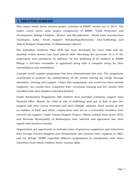# **I. EXECUTIVE SUMMARY**

This report briefs about various project activities of EBMF carried out in 2013. The report covers seven main project components of EBMF: "Child Protection and Development: Refuge Children', 'Rescue and Reunification', 'Humli Girls rescued from Tamilnadu, India', 'Youth Support' 'Scholarship/Bursaries', Anti-Trafficking' and 'School Support Programme' in Makawanpur district.

The Individual Childcare Plan (ICP) has been developed for every child and the monthly review system has been placed after educating the processes of it to the supervisors and caretakers. In addition, for the wellbeing of 62 children in EBMF Refuge a full-time counsellor is appointed along with a complete setup for their counselling is also established.

A proper youth support programme has been demonstrated this year. The programme contributed to promote the independency of the youths leaving the refuge through education, training and support. Under this programme, one youth has been already employed, two youths have completed their vocational training and five youths were reunified with their families/extended families.

Under Scholarship Programme 360 children were provided scholastic support from Hetauda office .Mainly the child at risk of trafficking were put in first to give this support and other circus returnees and their siblings, orphans, flood victims as well as children of Dalit and ethnic communities who are in a vulnerable condition have received the support. Under School Support Project, Fifteen schools from seven VDCs and Hetuada Municipality of Makwanpur were selected and agreement has been signed with fourteen schools.

Organisation got opportunity to welcome some of generous supporters and volunteers from Europe (United Kingdom and Switzerland) and received their supports in office and the Refuge. EBMF organized different programmes in coordination with those volunteers from which children learnt various skills.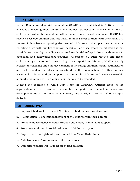# **II. INTRODUCTION**

Esther Benjamins Memorial Foundation (EBMF) was established in 2007 with the objective of rescuing Nepali children who had been trafficked or displaced into India or children in vulnerable condition within Nepal. Since its establishment, EBMF has rescued over 600 children and has safely reunified most of them with their family. At present it has been supporting the rescued children for their post-rescue care by reuniting them with families wherever possible. For those whose reunification is not possible are cared by providing structured residential refuge in Nepal with access to education and skill/vocational trainings. At present 62 such rescued and needy children are given care in Godavari refuge home. Apart from this care, EBMF currently focuses on schooling and skill development of the refuge children. Family reunification and self-dependency strategy is prioritized by the organisation. For this purpose vocational training and job support to the adult children and entrepreneurship support programme to their family is on the way to be extended.

Besides the operation of Child Care Home in Godawari, Current focus of the organisation is in education, scholarship supports and school infrastructure development support in the vulnerable areas, particularly in rural part of Makwanpur district.

# **III. OBJECTIVES**

- 1. Improve Child Welfare Home (CWH) to give children best possible care.
- 2. Reunification (Deinstitutionalisation) of the children with their parents.
- 3. Promote independency of youth through education, training and support.
- 4. Promote overall psychosocial wellbeing of children and youth.
- 5. Support for Humli girls who are rescued from Tamil Nadu, India.
- 6. Anti-Trafficking Awareness in traffic prone area.
- 7. Bursaries/Scholarship support for at risk children.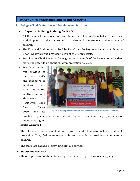# **IV.Activities undertaken and Result Achieved**

**i. Refuge - Child Protection and Development Activities:**

# **a. Capacity Building Training for Staffs**

- All the staffs from refuge and few staffs from office participated in a four days workshop on art therapy so as to understand the feelings and emotions of children.
- The First Aid Training organised by Red-Cross Society in association with 'Aama Ghar', Godawari was provided to two of the Refuge staffs.
- Training on "Child Protection" was given to care staffs of the Refuge to make them more understandable about children protection policies.

 Two days training was provided to the care staffs and managers to familiarize them with "Standards for Operation and Management of Residential Child Care Homes  $2069'$  and its



**Figure 1 Training and Orientation on Child Protection in Association with CNET**

practical aspects; information on child rights; concept and legal provisions on about child rights

# **Results Achieved**

- The staffs are more confident and aware about child care policies and child protection. They feel more responsible and capable of providing better care to children.
- The staffs are capable of providing first aid service.

# **b. Safety and security**

There is provision of three fire extinguishers in Refuge in case of emergency.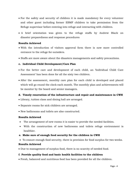- For the safety and security of children it is made mandatory for every volunteer and other guest including former EBMF children to take permission from the Refuge supervisor before entering into refuge and interacting with children.
- A brief orientation was given to the refuge staffs by Andrew Black on disaster preparedness and response procedures

# **Results Achieved**

- With the introduction of visitors approval form there is now more controlled entrance to the refuge for outsiders.
- Staffs are more aware about the disasters managements and safety precautions.

# **c. Individual Child Development/Care Plan**

- For the better care and development of each child, an "Individual Child Care Assessment' has been done for all the sixty two children.
- After the assessment, monthly care plan for each child is developed and placed which will go round the clock each month. The monthly plan and achievements will be monitor by the board and senior managers.

# **d. Timely renovation of the infrastructure and repair and maintenance in CWH**

- Library, tuition class and dining hall are arranged.
- Separate rooms for sick children are arranged.
- New bathrooms and toilets are also constructed.

#### **Results Achieved**

- The arrangement of new rooms it is easier to provide the needed facilities.
- With the construction of new bathrooms and toilets refuge environment is healthier.

# **e. Make sure of enough food security for the children in CWH**

To ensure enough food security, there is provision for food surplus for two weeks.

# **Results Achieved**

Due to management of surplus food, there is no scarcity of needed food.

# **f. Provide quality food and basic health facilities to the children**

Fresh, balanced and nutritious food has been provided for all the children.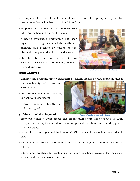- To improve the overall health conditions and to take appropriate preventive measures a doctor has been appointed in refuge
- As prescribed by the doctor, children were taken to the hospital on regular basis.
- A health awareness programme has been organised in refuge where all the staffs and children have received orientation on sex, physical changes, and waterborne diseases.
- The staffs have been oriented about rainy seasonal diseases i.e. diarrhoea, cholera, typhoid and viral.



**Figure 2 Children in a Health Camp**

# **Results Achieved**

- Children are receiving timely treatment of general health related problems due to
- the availability of doctor on weekly basis.
- The number of children visiting to hospital is decreasing.
- Overall general health of children is good.

# **g. Educational development**



**Figure 3 Regular check-up by Doctor**

- Sixty two children living under the organisation"s care were enrolled in Kitini Higher Secondary School. All of them had passed their final exams and upgraded to next class.
- Ten children had appeared in this year's SLC in which seven had succeeded to pass.
- All the children from nursery to grade ten are getting regular tuition support in the refuge.
- Educational database for each child in refuge has been updated for records of educational improvements in future.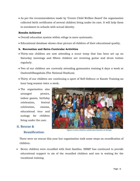As per the recommendation made by "Centre Child Welfare Board" the organisation collected birth certificates of several children living under its care. It will help them in enrolment in schools with actual identity.

# **Results Achieved**

- Overall education system within refuge is more systematic.
- Educational database shows clear picture of children of their educational quality.

# **h. Recreation and Extra Curricular Activities**

- Thirty-one children are now attending a scout troop that has been set up on Saturday mornings and fifteen children are receiving guitar and drum tuition regularly.
- Two of our children are currently attending gymnastics training 6 days a week at DashrathRangshala (The National Stadium).
- Thirty of our children are continuing a sport of Self-Defence or Karate Training an hour long session twice a week.
- The organisation also arranged picnics, indoor games, birthday celebration, festival celebration, cinema, educational tour and outings for children living under the care.

# **ii. Rescue &**

# **Reunification:**



**Figure 4 some children celebrated Dashain at Refuge**

There were no rescue this year but organisation took some steps on reunification of children.

 Seven children were reunified with their families. EBMF has continued to provide educational support to six of the reunified children and one is waiting for the vocational training.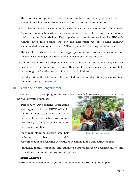- The reunification process of two Yadav children has been postponed for this academic session due to the time constrains and other circumstances.
	- Organisation has succeeded to find a safe place for a boy who has HIV-AIDS. ASHA Nepal, an organisation which has expertise in caring children and women agreed totake him in their shelter. The organisation has been working for HIV/Aids victims since last decade. As per the agreement we are paying monthly accommodation and other costs to ASHA Nepal and he is being cared in its shelter.
	- Three children whose mother is in Bhojpur jail were taken to visit their mother and the visit was arranged by EBMF which is also a part of reunification.
	- Children were provided telephone facility to contact with their family. They can now have a telephonic communication with their families once a week and this will help in the long run for effective reunification of the children.

Re integration officer is soon to be recruited and the reintegration process will take the pace from 2014 onwards.

# **iii. Youth Support Programme:**

Under youth support programme we have provided necessary support to the individual youths such as:

• Personality Development Programme' was organized in the EBMF office for the SLC students to provide them skills on how to search jobs, how to face interviews, writing job applications and to make a good C.V.



 Individual planning session was held including best possible

**Figure 5 Youth in an outing**

recommendations regarding their future accommodation and course options.

 Financial, moral, emotional and guidance support for their accommodation and education/vocational training course options.

# **Results Achieved**

Promoted independency of youth through education, training and support.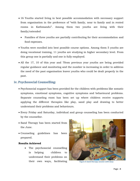- 16 Youths started living in best possible accommodation with necessary support from organisation in the preference of "with family, near to family and in rented rooms in Kathmandu". Among them two youths are living with their family/extended
	- Families of three youths are partially contributing for their accommodation and food expenses.
- Youths were enrolled into best possible course options. Among them 5 youths are doing vocational training, 11 youths are studying in higher secondary level. From this group one is partially and one is fully employed.
- All the 17, 10 of this year and 7 from previous year youths are being provided regular guidance and monitoring and the number is increasing in order to address the need of the past organisation leaver youths who could be dealt properly in the past.

# **iv. Psychosocial Counselling:**

- Psychosocial support has been provided for the children with problems like somatic symptoms, emotional symptoms, cognitive symptoms and behavioural problems. Separate counseling room has been set up where children receive supports applying the different therapies like play, sand play and drawing to better understand their problems and behaviours.
- Every Friday and Saturday, individual and group counseling has been conducted by the counsellor.
- Sand Therapy has been started from the June.
- Counseling guidelines has been prepared.

# **Results Achieved**

 The psychosocial counselling is helping children to understand their problems on their own ways, facilitating **Figure 6 Sand therapy session with boys**

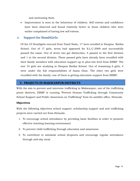and motivating them

 Improvement is seen in the behaviour of children. Self esteem and confidence have been observed and found relatively better in those children who were earlier complained of having low self esteem.

# **v. Support for HumliGirls:**

Of the 23 Humligirls rescued from Tamil Nadu, 17 were enrolled in Swapna Batika School. Out of 17 girls, seven had appeared for S.L.C-2069 and successfully passed the exam. Out of seven two got distinction, 4 passed in the first division and 1 in the second division. These passed girls have already been reunified with their family members with education support up to plus-two level from EBMF. The rest 10 girls are studying in Swapna Batika School. Out of remaining 6 girls, 4 were under the full responsibilities of Aama Ghar. The other two girls were reunified with the family; one of them is getting education support from EBMF.

# **V. PROJECTS IN MAKWANPUR DISTRICTS**

With the aim to prevent and intervene trafficking in Makwanpur, one of the trafficking prone districts, EBMF is running "Prevent Human Trafficking through Community School Support and Public Awareness on Trafficking" from its satellite office, Hetauda.

# **Objectives**

With the following objectives school support, scholarship support and anti trafficking projects were carried out from Hetauda.

- 1. To encourage school attendance by providing basic facilities in order to promote effective teaching learning environment
- 2. To prevent child trafficking through education and awareness
- 3. To contribute to minimize school dropouts and encourage regular attendance through mid-day meal.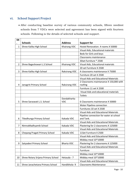# **vi. School Support Project**

 After conducting baseline survey of various community schools, fifteen neediest schools from 7 VDCs were selected and agreement has been signed with fourteen schools. Following is the details of selected schools and support.

| SN             |                                     |                           |                                                    |  |
|----------------|-------------------------------------|---------------------------|----------------------------------------------------|--|
|                | <b>Schools</b>                      | <b>Address</b>            | <b>Support for</b>                                 |  |
| $\mathbf{1}$   | Shree Kalika High School            | Khairang VDC              | Hostel Renovation. 4 rooms X 50000                 |  |
|                |                                     |                           | Visual Aids, Educational materials                 |  |
|                |                                     |                           | Beds for Girls and boys                            |  |
|                |                                     |                           | Classrooms maintenance                             |  |
|                |                                     |                           | 30set furniture * 2500                             |  |
| $\overline{2}$ | Shree Bageshowari L.S School        | Khairang VDC              | Visual Aids, Educational materials                 |  |
|                |                                     |                           | 20 set Furniture X 2500                            |  |
| 3              | Shree Kalika High School            | Raksirang VDC             | 4 classrooms maintenance X 75000                   |  |
|                |                                     |                           | Furniture 20 set X 2500                            |  |
|                |                                     |                           | <b>Visual Aids and Educational Materials</b>       |  |
| 4              | Janagriti Primary School            | Raksirang VDC             | 2 Classrooms maintanance X 150,000 with<br>roofing |  |
|                |                                     |                           | Furniture 11 set X 2500                            |  |
|                |                                     |                           | Visual Aids and educational materials              |  |
|                |                                     |                           | <b>Toilets</b>                                     |  |
| 5              | Shree Saraswati L.S. School         | Dandakharka<br><b>VDC</b> | 6 Classrooms maintenance X 50000                   |  |
|                |                                     |                           | Water Pipeline connection                          |  |
|                |                                     |                           | Furnitures 10 set X 2500                           |  |
|                |                                     |                           | <b>Visual Aids and Educational Materials</b>       |  |
|                |                                     |                           | Pipeline connection for water at school            |  |
| 6              | Tikedhunga Primary School           | Kakada VDC                | and Tank.                                          |  |
|                |                                     |                           | <b>Visual Aids and Educational Materials</b>       |  |
| 7              | NimnaMadhyamik School               | Kakada VDC                | Plastering for 2 classrooms X 125000               |  |
|                |                                     |                           | <b>Visual Aids and Educational Materials</b>       |  |
| 8              | Chepang Pragati Primary School      | Kakada VDC                | 11Set Furniture X 2500                             |  |
|                |                                     |                           | <b>Visual Aids and Educational Materials</b>       |  |
|                |                                     |                           | Midday meal 10*10000                               |  |
| 9              | Satyadevi Primary School            | <b>Bharta VDC</b>         | Plastering for 2 classrooms X 125000               |  |
|                |                                     |                           | <b>Visual Aids and Educational Materials</b>       |  |
|                |                                     |                           | Furniture                                          |  |
|                |                                     |                           | Midday meal 10*10000                               |  |
| 10             | Shree Rotary Srijana Primary School | Hetauda - 7               | Midday meal 10*10000                               |  |
|                |                                     |                           | Visual Aids and Educational Materials              |  |
| 11             | Shree Janachetana Primary School    | Handikhola-9              | <b>Classrooms Maintenance</b>                      |  |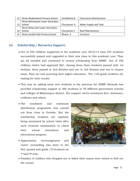| 12 | Shree MadanAshrit Primary School  | Handikhola-8 | <b>Classrooms Maintenance</b> |
|----|-----------------------------------|--------------|-------------------------------|
|    | Shree BishwaJyoti Lower Secondary |              |                               |
| 13 | School                            | Churyamai-6  | Water Supply and Tank         |
|    | Shree Deep Jyoti Lower Secondary  |              |                               |
| 14 | School                            | Churyamai-2  | Roof Maintenance              |
| 15 | Shree Sundari Kali Primary School | Bharta -2    | <b>Furniture</b>              |

# **vii. Scholarship / Bursaries Support:**

- Out of 356 children supported in the academic year 2012/13 total 254 students successfully passed and upgraded to their new class in this academic year. They are all enrolled and continued to receive scholarship from EBMF. Out of 356 children twelve had appeared SLC. Among them three students passed with 1st division, three passed in 2nd division and one in 3rd division and one in chance exam. They are now pursuing their higher education. The 11th grade students are waiting for their results
- This year by adding some new students to the previous list EBMF Hetauda has provided scholarship support to 360 students in 49 different government schools and colleges of Makwanpur district. The support covers enrolment fees, stationary, uniforms and others.
- The enrolment and stationary distribution programme was carried out from June to October. But the scholarship students are regularly being monitored by school visits after each terminal examination to check their school attendance and educational progress.
- Appreciation, encouragement and career counselling was done to the SLC passed and grade 12<sup>th</sup>students on 7thand 9thJuly.



**Figure 7 Children posing for picture after receiving Bursaries**

 Families of children who dropped out or failed their exams were visited to find out the causes.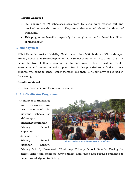#### **Results Achieved**

- 360 children of 49 schools/colleges from 15 VDCs were reached out and provided scholarship support. They were also oriented about the threat of trafficking.
- This programme benefited especially the marginalized and vulnerable children of Makwanpur.

# **6. Mid-day meal**

EBMF Hetauda provided Mid-Day Meal to more than 300 children of Shree Janajati Primary School and Shree Chepang Primary School since last April to June 2013. The main objective of this programme is to encourage child's education, regular attendance and prevent school dropout. But it also provided some food for those children who come to school empty stomach and there is no certainty to get food in the evening.

# **Results Achieved**

Encouraged children for regular schooling.

# **7. Anti-Trafficking Programme:**

 A number of trafficking awareness classes have been conducted in different schools of Makwanpur includingSagarmatha Primary School, Rupachuri, JanajatiUtthan Primary School, Manahari, Kalidevi



**Figure 8 Audience watching drama on anti-trafficking**

Primary School, Harnamadi, Tikedhunga Primary School, Kakada. During the school visits team members always utilize time, place and people's gathering to impart knowledge on trafficking.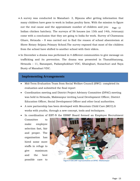- A survey was conducted in Manahari- 3, Bijauna after getting information that many children have gone to work in Indian poultry farm. With the mission to figure out the real cause and the approximate number of children and you Indian chicken hatchery. The surveys of 56 houses (on 13th and 14th, February) come with a conclusion that they are going to India for work. Survey of Chawanna Ghare, Hetauda – 8 was carried out to find the reason of school absenteeism at Shree Rotary Srijana Primary School.The survey exposed that most of the children from the school have shifted to another school with their elders. Page - 12
- In December a drama was performed in 4 different communities to give message on trafficking and its prevention. The drama was presented in Thanabharyang, Hetauda – 11, Banaspati, Padamphokhari VDC, Khairghari, Sunachuri and Naya Busty of Manahari VDC.

# **Implementing Arrangements**

- Mid-Term Evaluation Team from Social Welfare Council (SWC) completed its evaluation and submitted the final report
- Coordination meeting and District Project Advisory Committee (DPAC) meeting was held in Hetauda, Makwanpur inviting Local Development Officer, District Education Officer, Social Development Officer and other local authorities.
- A new partnership has been developed with Mountain Child Care (MCC).It works with youths, through a new concept, tools and techniques.
- In coordination of EBT-N the EBMF Board formed an Employee Recruitment

Committee to make employee selection fast, fair and proper. The organisation has hired some more staffs in refuge to give maximum and the best

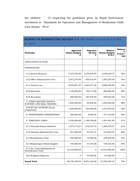the children 13 respecting the guidelines given by Nepal Government mentioned in 'Standards for Operation and Management of Residential Child Care Homes - 2012'

| <b>BUDGET VS EXPENDITURE DETAILS (FOR THE PERIOD 16 JULY 2013 TO DEC</b><br>31, 2013) |                                 |                                   |                                             |                                         |  |  |
|---------------------------------------------------------------------------------------|---------------------------------|-----------------------------------|---------------------------------------------|-----------------------------------------|--|--|
| Particular                                                                            | Approved<br>(Grant/Budget)<br>D | <b>Expenses</b><br>till date<br>с | <b>Balance</b><br>(Grant/Budget)<br>$E=D-C$ | <b>Balance</b><br>%<br>$F=E/D$ *<br>100 |  |  |
| <b>APPLICATION OF FUND</b>                                                            |                                 |                                   |                                             |                                         |  |  |
| <b>EXPENDITURE</b>                                                                    |                                 |                                   |                                             |                                         |  |  |
| A.1) Human Resource                                                                   | 7,247,540.26                    | 3,170,619.49                      | 4,076,920.77                                | 56%                                     |  |  |
| A.2) Office Administrative Cost                                                       | 2,013,776.00                    | 920,523.54                        | 1,093,252.46                                | 54%                                     |  |  |
| B.1) General care                                                                     | 5,670,627.50                    | 1,684,271.50                      | 3,986,356.00                                | 70%                                     |  |  |
| B.2) Education                                                                        | 1,148,000.00                    | 159,114.00                        | 988,886.00                                  | 86%                                     |  |  |
| B.3) Recreation                                                                       | 688,000.00                      | 197,976.00                        | 490,024.00                                  | 71%                                     |  |  |
| C. FAMILY REUNIFICATION &<br>SUPPORT, LIFE SKILL TRAINING                             | 1,555,000.00                    | 25,050.00                         | 1,529,950.00                                | 98%                                     |  |  |
| D.POST SLC SUPPORT (Youth<br>programme)                                               | 1,838,000.00                    | 765,598.00                        | 1,072,402.00                                | 58%                                     |  |  |
| E. TRAFFFICKING INTERVENTION                                                          | 380,000.00                      | 8,584.00                          | 371,416.00                                  | 98%                                     |  |  |
| F. TAMILNADU GIRLS                                                                    | 2,420,600.00                    | 1,196,109.00                      | 1,224,491.00                                | 51%                                     |  |  |
| G.1) Hetauda Human Resource                                                           | 1,877,115.27                    | 616,375.70                        | 1,260,739.57                                | 67%                                     |  |  |
| G.2) Hetauda Administrative Cost                                                      | 481,600.00                      | 65,547.37                         | 416,052.63                                  | 86%                                     |  |  |
| G.3 Reunification Costs                                                               | 340,000.00                      | 10,080.00                         | 329,920.00                                  | 97%                                     |  |  |
| G.4 Makawanpur School Support                                                         | 776,000.00                      | 37,575.00                         | 738,425.00                                  | 95%                                     |  |  |
| H.1) De-Institutionalisation &<br><b>Reunification Costs</b>                          | 10,310,000.00                   | $\mathbf{0}$                      | 10,310,000.00                               | 100%                                    |  |  |
| Non Budgeted Expenses                                                                 | $\mathbf{0}$                    | 94,000.00                         | $-94,000.00$                                |                                         |  |  |
| <b>Grand Total</b>                                                                    | 36,746,259.03                   | 8,951,423.60                      | 27,794,835.43                               | 76%                                     |  |  |